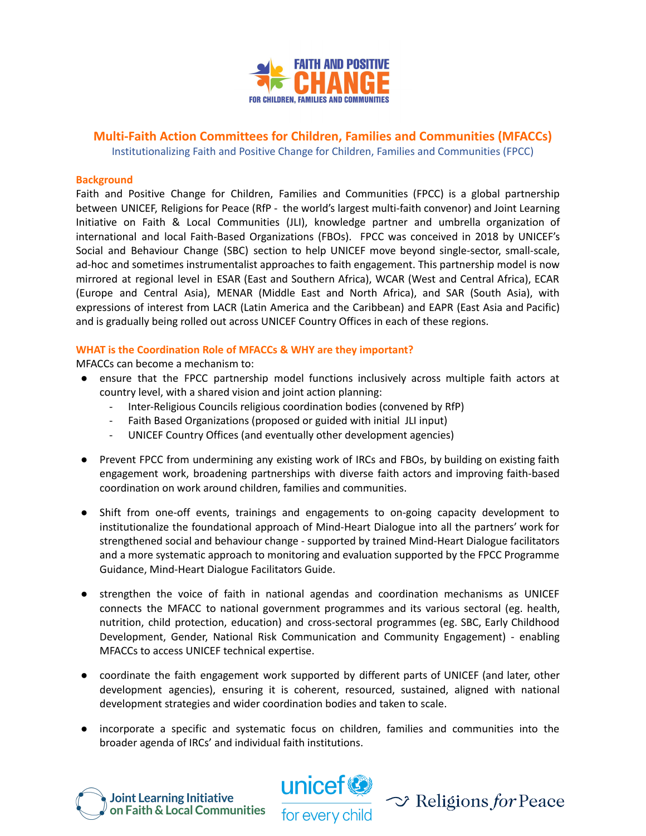

# **Multi-Faith Action Committees for Children, Families and Communities (MFACCs)**

Institutionalizing Faith and Positive Change for Children, Families and Communities (FPCC)

#### **Background**

Faith and Positive Change for Children, Families and Communities (FPCC) is a global partnership between UNICEF, Religions for Peace (RfP - the world's largest multi-faith convenor) and Joint Learning Initiative on Faith & Local Communities (JLI), knowledge partner and umbrella organization of international and local Faith-Based Organizations (FBOs). FPCC was conceived in 2018 by UNICEF's Social and Behaviour Change (SBC) section to help UNICEF move beyond single-sector, small-scale, ad-hoc and sometimes instrumentalist approaches to faith engagement. This partnership model is now mirrored at regional level in ESAR (East and Southern Africa), WCAR (West and Central Africa), ECAR (Europe and Central Asia), MENAR (Middle East and North Africa), and SAR (South Asia), with expressions of interest from LACR (Latin America and the Caribbean) and EAPR (East Asia and Pacific) and is gradually being rolled out across UNICEF Country Offices in each of these regions.

## **WHAT is the Coordination Role of MFACCs & WHY are they important?**

MFACCs can become a mechanism to:

- ensure that the FPCC partnership model functions inclusively across multiple faith actors at country level, with a shared vision and joint action planning:
	- Inter-Religious Councils religious coordination bodies (convened by RfP)
	- Faith Based Organizations (proposed or guided with initial JLI input)
	- UNICEF Country Offices (and eventually other development agencies)
- Prevent FPCC from undermining any existing work of IRCs and FBOs, by building on existing faith engagement work, broadening partnerships with diverse faith actors and improving faith-based coordination on work around children, families and communities.
- Shift from one-off events, trainings and engagements to on-going capacity development to institutionalize the foundational approach of Mind-Heart Dialogue into all the partners' work for strengthened social and behaviour change - supported by trained Mind-Heart Dialogue facilitators and a more systematic approach to monitoring and evaluation supported by the FPCC Programme Guidance, Mind-Heart Dialogue Facilitators Guide.
- strengthen the voice of faith in national agendas and coordination mechanisms as UNICEF connects the MFACC to national government programmes and its various sectoral (eg. health, nutrition, child protection, education) and cross-sectoral programmes (eg. SBC, Early Childhood Development, Gender, National Risk Communication and Community Engagement) - enabling MFACCs to access UNICEF technical expertise.
- coordinate the faith engagement work supported by different parts of UNICEF (and later, other development agencies), ensuring it is coherent, resourced, sustained, aligned with national development strategies and wider coordination bodies and taken to scale.
- incorporate a specific and systematic focus on children, families and communities into the broader agenda of IRCs' and individual faith institutions.





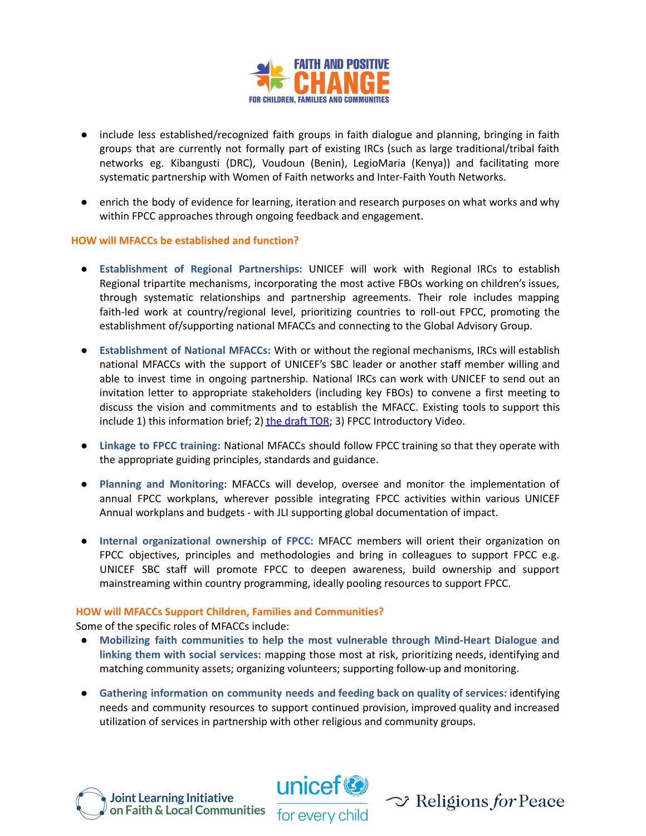

- include less established/recognized faith groups in faith dialogue and planning, bringing in faith groups that are currently not formally part of existing IRCs (such as large traditional/tribal faith networks eg. Kibangusti (DRC), Voudoun (Benin), LegioMaria (Kenya)) and facilitating more systematic partnership with Women of Faith networks and Inter-Faith Youth Networks.
- enrich the body of evidence for learning, iteration and research purposes on what works and why within FPCC approaches through ongoing feedback and engagement.

## **HOW will MFACCs be established and function?**

- **Establishment of Regional Partnerships:** UNICEF will work with Regional IRCs to establish Regional tripartite mechanisms, incorporating the most active FBOs working on children's issues, through systematic relationships and partnership agreements. Their role includes mapping faith-led work at country/regional level, prioritizing countries to roll-out FPCC, promoting the establishment of/supporting national MFACCs and connecting to the Global Advisory Group.
- **Establishment of National MFACCs:** With or without the regional mechanisms, IRCs will establish national MFACCs with the support of UNICEF's SBC leader or another staff member willing and able to invest time in ongoing partnership. National IRCs can work with UNICEF to send out an invitation letter to appropriate stakeholders (including key FBOs) to convene a first meeting to discuss the vision and commitments and to establish the MFACC. Existing tools to support this include 1) this information brief; 2) the [draft](https://drive.google.com/file/d/1jjKTSqeeyenphpevsDIgLT8IO18SY1hq/view?usp=sharing) TOR; 3) FPCC Introductory Video.
- **Linkage to FPCC training:** National MFACCs should follow FPCC training so that they operate with the appropriate guiding principles, standards and guidance.
- **Planning and Monitoring:** MFACCs will develop, oversee and monitor the implementation of annual FPCC workplans, wherever possible integrating FPCC activities within various UNICEF Annual workplans and budgets - with JLI supporting global documentation of impact.
- **Internal organizational ownership of FPCC:** MFACC members will orient their organization on FPCC objectives, principles and methodologies and bring in colleagues to support FPCC e.g. UNICEF SBC staff will promote FPCC to deepen awareness, build ownership and support mainstreaming within country programming, ideally pooling resources to support FPCC.

#### **HOW will MFACCs Support Children, Families and Communities?**

Some of the specific roles of MFACCs include:

- **Mobilizing faith communities to help the most vulnerable through Mind-Heart Dialogue and linking them with social services:** mapping those most at risk, prioritizing needs, identifying and matching community assets; organizing volunteers; supporting follow-up and monitoring.
- **Gathering information on community needs and feeding back on quality of services:** identifying needs and community resources to support continued provision, improved quality and increased utilization of services in partnership with other religious and community groups.